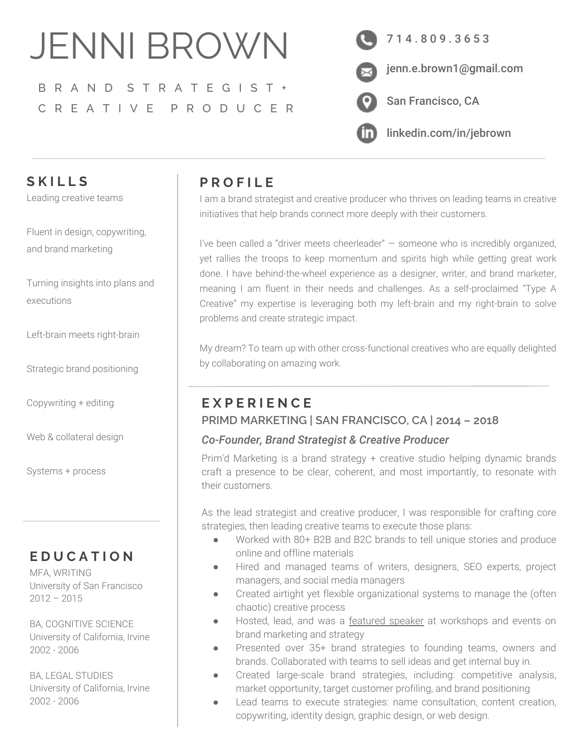# JENNI BROWN

# B R A N D S T R A T E G I S T + C R E A T I V E P R O D U C E R



# **S K I L L S**

Leading creative teams

Fluent in design, copywriting, and brand marketing

Turning insights into plans and executions

Left-brain meets right-brain

Strategic brand positioning

Copywriting + editing

Web & collateral design

Systems + process

## **E D U C A T I O N**

MFA, WRITING University of San Francisco  $2012 - 2015$ 

BA, COGNITIVE SCIENCE University of California, Irvine 2002 - 2006

BA, LEGAL STUDIES University of California, Irvine 2002 - 2006

## **P R O F I L E**

I am a brand strategist and creative producer who thrives on leading teams in creative initiatives that help brands connect more deeply with their customers.

I've been called a "driver meets cheerleader" — someone who is incredibly organized, yet rallies the troops to keep momentum and spirits high while getting great work done. I have behind-the-wheel experience as a designer, writer, and brand marketer, meaning I am fluent in their needs and challenges. As a self-proclaimed "Type A Creative" my expertise is leveraging both my left-brain and my right-brain to solve problems and create strategic impact.

My dream? To team up with other cross-functional creatives who are equally delighted by collaborating on amazing work.

## **E X P E R I E N C E PRIMD MARKETING | SAN FRANCISCO, CA | 2014 – 2018**

#### *Co-Founder, Brand Strategist & Creative Producer*

Prim'd Marketing is a brand strategy + creative studio helping dynamic brands craft a presence to be clear, coherent, and most importantly, to resonate with their customers.

As the lead strategist and creative producer, I was responsible for crafting core strategies, then leading creative teams to execute those plans:

- Worked with 80+ B2B and B2C brands to tell unique stories and produce online and offline materials
- Hired and managed teams of writers, designers, SEO experts, project managers, and social media managers
- Created airtight yet flexible organizational systems to manage the (often chaotic) creative process
- Hosted, lead, and was a [featured speaker](https://www.primd.com/speaking-media-press/) at workshops and events on brand marketing and strategy
- Presented over 35+ brand strategies to founding teams, owners and brands. Collaborated with teams to sell ideas and get internal buy in.
- Created large-scale brand strategies, including: competitive analysis, market opportunity, target customer profiling, and brand positioning
- Lead teams to execute strategies: name consultation, content creation, copywriting, identity design, graphic design, or web design.